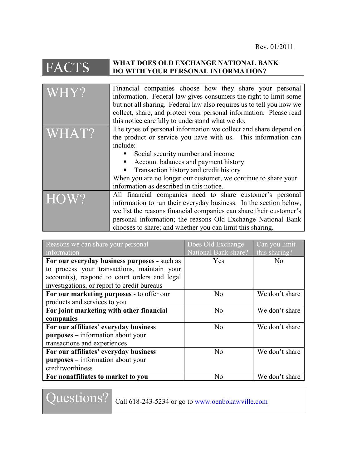## FACTS **WHAT DOES OLD EXCHANGE NATIONAL BANK DO WITH YOUR PERSONAL INFORMATION?**

| WHY?  | Financial companies choose how they share your personal<br>information. Federal law gives consumers the right to limit some<br>but not all sharing. Federal law also requires us to tell you how we<br>collect, share, and protect your personal information. Please read<br>this notice carefully to understand what we do.                                                       |
|-------|------------------------------------------------------------------------------------------------------------------------------------------------------------------------------------------------------------------------------------------------------------------------------------------------------------------------------------------------------------------------------------|
| WHAT? | The types of personal information we collect and share depend on<br>the product or service you have with us. This information can<br>include:<br>Social security number and income<br>Account balances and payment history<br>Transaction history and credit history<br>When you are no longer our customer, we continue to share your<br>information as described in this notice. |
| HOW?  | All financial companies need to share customer's personal<br>information to run their everyday business. In the section below,<br>we list the reasons financial companies can share their customer's<br>personal information; the reasons Old Exchange National Bank<br>chooses to share; and whether you can limit this sharing.                                                  |

| Reasons we can share your personal            | Does Old Exchange    | Can you limit  |
|-----------------------------------------------|----------------------|----------------|
| information                                   | National Bank share? | this sharing?  |
| For our everyday business purposes - such as  | Yes                  | N <sub>0</sub> |
| to process your transactions, maintain your   |                      |                |
| account(s), respond to court orders and legal |                      |                |
| investigations, or report to credit bureaus   |                      |                |
| For our marketing purposes - to offer our     | N <sub>0</sub>       | We don't share |
| products and services to you                  |                      |                |
| For joint marketing with other financial      | No                   | We don't share |
| companies                                     |                      |                |
| For our affiliates' everyday business         | No                   | We don't share |
| <b>purposes</b> – information about your      |                      |                |
| transactions and experiences                  |                      |                |
| For our affiliates' everyday business         | No                   | We don't share |
| <b>purposes</b> – information about your      |                      |                |
| creditworthiness                              |                      |                |
| For nonaffiliates to market to you            | No                   | We don't share |

Questions? call 618-243-5234 or go to [www.oenbokawville.com](http://www.oenbokawville.com/)